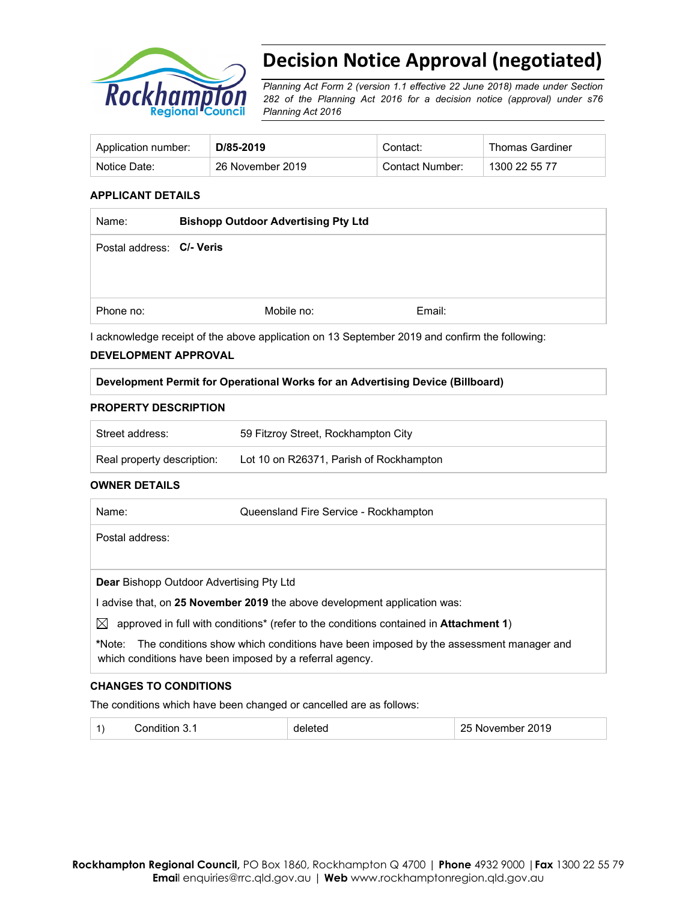

# **Decision Notice Approval (negotiated)**

*Planning Act Form 2 (version 1.1 effective 22 June 2018) made under Section 282 of the Planning Act 2016 for a decision notice (approval) under s76 Planning Act 2016*

| Application number: | D/85-2019        | Contact:        | <b>Thomas Gardiner</b> |
|---------------------|------------------|-----------------|------------------------|
| Notice Date:        | 26 November 2019 | Contact Number: | 1300 22 55 77          |

## **APPLICANT DETAILS**

| Name:                     | <b>Bishopp Outdoor Advertising Pty Ltd</b> |            |        |
|---------------------------|--------------------------------------------|------------|--------|
| Postal address: C/- Veris |                                            |            |        |
|                           |                                            |            |        |
|                           |                                            |            |        |
| Phone no:                 |                                            | Mobile no: | Email: |

I acknowledge receipt of the above application on 13 September 2019 and confirm the following:

#### **DEVELOPMENT APPROVAL**

#### **Development Permit for Operational Works for an Advertising Device (Billboard)**

#### **PROPERTY DESCRIPTION**

| Street address:            | 59 Fitzroy Street, Rockhampton City     |
|----------------------------|-----------------------------------------|
| Real property description: | Lot 10 on R26371, Parish of Rockhampton |

#### **OWNER DETAILS**

| Name:                                           | Queensland Fire Service - Rockhampton                                                                                                            |
|-------------------------------------------------|--------------------------------------------------------------------------------------------------------------------------------------------------|
| Postal address:                                 |                                                                                                                                                  |
|                                                 |                                                                                                                                                  |
| <b>Dear Bishopp Outdoor Advertising Pty Ltd</b> |                                                                                                                                                  |
|                                                 | advise that, on 25 November 2019 the above development application was:                                                                          |
| $\bowtie$                                       | approved in full with conditions* (refer to the conditions contained in <b>Attachment 1)</b>                                                     |
| *Note:                                          | The conditions show which conditions have been imposed by the assessment manager and<br>which conditions have been imposed by a referral agency. |

## **CHANGES TO CONDITIONS**

The conditions which have been changed or cancelled are as follows:

|  | - - |  | nnar<br>J<br>…<br><b>2019</b> |
|--|-----|--|-------------------------------|
|--|-----|--|-------------------------------|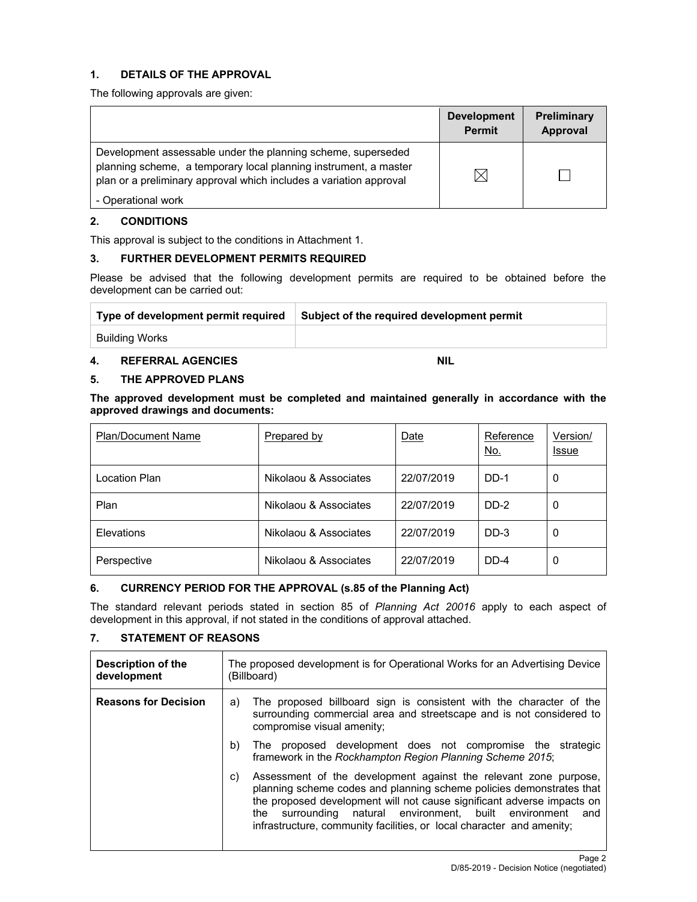# **1. DETAILS OF THE APPROVAL**

The following approvals are given:

|                                                                                                                                                                                                        | <b>Development</b><br><b>Permit</b> | Preliminary<br>Approval |
|--------------------------------------------------------------------------------------------------------------------------------------------------------------------------------------------------------|-------------------------------------|-------------------------|
| Development assessable under the planning scheme, superseded<br>planning scheme, a temporary local planning instrument, a master<br>plan or a preliminary approval which includes a variation approval | $\times$                            |                         |
| - Operational work                                                                                                                                                                                     |                                     |                         |

# **2. CONDITIONS**

This approval is subject to the conditions in Attachment 1.

# **3. FURTHER DEVELOPMENT PERMITS REQUIRED**

Please be advised that the following development permits are required to be obtained before the development can be carried out:

| Type of development permit required | Subject of the required development permit |
|-------------------------------------|--------------------------------------------|
| Building Works                      |                                            |

#### **4. REFERRAL AGENCIES NIL**

#### **5. THE APPROVED PLANS**

**The approved development must be completed and maintained generally in accordance with the approved drawings and documents:** 

| <b>Plan/Document Name</b> | Prepared by           | Date       | Reference<br><u>No.</u> | Version/<br>Issue |
|---------------------------|-----------------------|------------|-------------------------|-------------------|
| Location Plan             | Nikolaou & Associates | 22/07/2019 | DD-1                    | 0                 |
| Plan                      | Nikolaou & Associates | 22/07/2019 | DD-2                    | 0                 |
| Elevations                | Nikolaou & Associates | 22/07/2019 | $DD-3$                  | 0                 |
| Perspective               | Nikolaou & Associates | 22/07/2019 | DD-4                    | 0                 |

# **6. CURRENCY PERIOD FOR THE APPROVAL (s.85 of the Planning Act)**

The standard relevant periods stated in section 85 of *Planning Act 20016* apply to each aspect of development in this approval, if not stated in the conditions of approval attached.

# **7. STATEMENT OF REASONS**

| Description of the<br>development | The proposed development is for Operational Works for an Advertising Device<br>(Billboard)                                                                                                                                                                                                                                                                            |  |  |
|-----------------------------------|-----------------------------------------------------------------------------------------------------------------------------------------------------------------------------------------------------------------------------------------------------------------------------------------------------------------------------------------------------------------------|--|--|
| <b>Reasons for Decision</b>       | The proposed billboard sign is consistent with the character of the<br>a)<br>surrounding commercial area and streetscape and is not considered to<br>compromise visual amenity;                                                                                                                                                                                       |  |  |
|                                   | The proposed development does not compromise the strategic<br>b)<br>framework in the Rockhampton Region Planning Scheme 2015;                                                                                                                                                                                                                                         |  |  |
|                                   | Assessment of the development against the relevant zone purpose,<br>C)<br>planning scheme codes and planning scheme policies demonstrates that<br>the proposed development will not cause significant adverse impacts on<br>surrounding natural environment, built environment<br>the<br>and<br>infrastructure, community facilities, or local character and amenity; |  |  |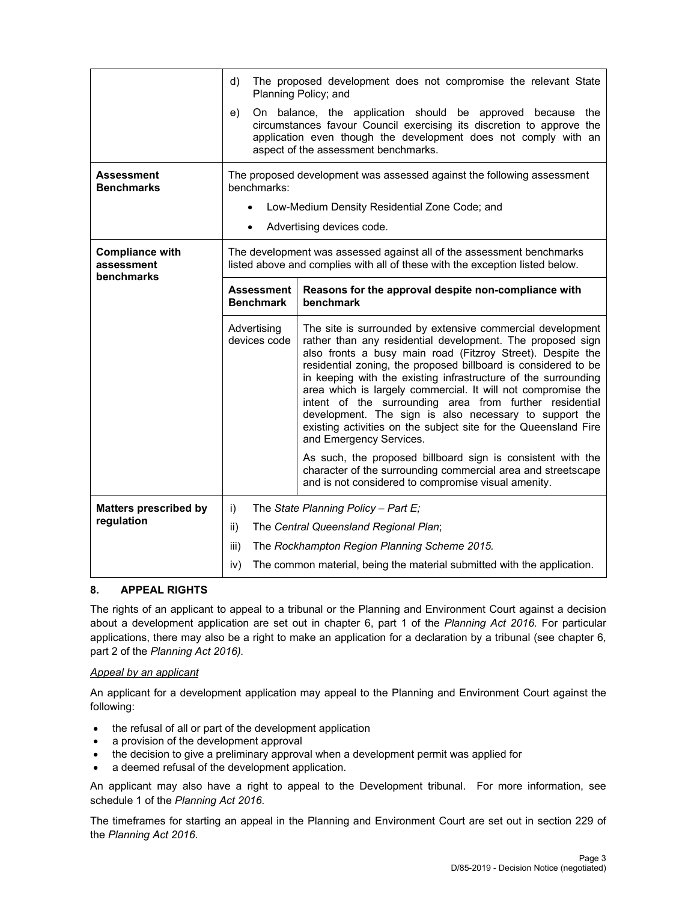|                                                    | The proposed development does not compromise the relevant State<br>d)<br>Planning Policy; and                                                                                                                                                        |                                                                                                                                                                                                                                                                                                                                                                                                                                                                                                                                                                                                               |  |  |
|----------------------------------------------------|------------------------------------------------------------------------------------------------------------------------------------------------------------------------------------------------------------------------------------------------------|---------------------------------------------------------------------------------------------------------------------------------------------------------------------------------------------------------------------------------------------------------------------------------------------------------------------------------------------------------------------------------------------------------------------------------------------------------------------------------------------------------------------------------------------------------------------------------------------------------------|--|--|
|                                                    | On balance, the application should be approved because the<br>e)<br>circumstances favour Council exercising its discretion to approve the<br>application even though the development does not comply with an<br>aspect of the assessment benchmarks. |                                                                                                                                                                                                                                                                                                                                                                                                                                                                                                                                                                                                               |  |  |
| <b>Assessment</b><br><b>Benchmarks</b>             | benchmarks:                                                                                                                                                                                                                                          | The proposed development was assessed against the following assessment                                                                                                                                                                                                                                                                                                                                                                                                                                                                                                                                        |  |  |
|                                                    | $\bullet$                                                                                                                                                                                                                                            | Low-Medium Density Residential Zone Code; and                                                                                                                                                                                                                                                                                                                                                                                                                                                                                                                                                                 |  |  |
|                                                    |                                                                                                                                                                                                                                                      | Advertising devices code.                                                                                                                                                                                                                                                                                                                                                                                                                                                                                                                                                                                     |  |  |
| <b>Compliance with</b><br>assessment<br>benchmarks |                                                                                                                                                                                                                                                      | The development was assessed against all of the assessment benchmarks<br>listed above and complies with all of these with the exception listed below.                                                                                                                                                                                                                                                                                                                                                                                                                                                         |  |  |
|                                                    | <b>Assessment</b><br><b>Benchmark</b>                                                                                                                                                                                                                | Reasons for the approval despite non-compliance with<br>benchmark                                                                                                                                                                                                                                                                                                                                                                                                                                                                                                                                             |  |  |
|                                                    | Advertising<br>devices code                                                                                                                                                                                                                          | The site is surrounded by extensive commercial development<br>rather than any residential development. The proposed sign<br>also fronts a busy main road (Fitzroy Street). Despite the<br>residential zoning, the proposed billboard is considered to be<br>in keeping with the existing infrastructure of the surrounding<br>area which is largely commercial. It will not compromise the<br>intent of the surrounding area from further residential<br>development. The sign is also necessary to support the<br>existing activities on the subject site for the Queensland Fire<br>and Emergency Services. |  |  |
|                                                    |                                                                                                                                                                                                                                                      | As such, the proposed billboard sign is consistent with the<br>character of the surrounding commercial area and streetscape<br>and is not considered to compromise visual amenity.                                                                                                                                                                                                                                                                                                                                                                                                                            |  |  |
| <b>Matters prescribed by</b>                       | i)                                                                                                                                                                                                                                                   | The State Planning Policy - Part E;                                                                                                                                                                                                                                                                                                                                                                                                                                                                                                                                                                           |  |  |
| regulation                                         | ii)                                                                                                                                                                                                                                                  | The Central Queensland Regional Plan;                                                                                                                                                                                                                                                                                                                                                                                                                                                                                                                                                                         |  |  |
|                                                    | iii)                                                                                                                                                                                                                                                 | The Rockhampton Region Planning Scheme 2015.                                                                                                                                                                                                                                                                                                                                                                                                                                                                                                                                                                  |  |  |
|                                                    | iv)                                                                                                                                                                                                                                                  | The common material, being the material submitted with the application.                                                                                                                                                                                                                                                                                                                                                                                                                                                                                                                                       |  |  |

## **8. APPEAL RIGHTS**

The rights of an applicant to appeal to a tribunal or the Planning and Environment Court against a decision about a development application are set out in chapter 6, part 1 of the *Planning Act 2016*. For particular applications, there may also be a right to make an application for a declaration by a tribunal (see chapter 6, part 2 of the *Planning Act 2016).*

#### *Appeal by an applicant*

An applicant for a development application may appeal to the Planning and Environment Court against the following:

- the refusal of all or part of the development application
- a provision of the development approval
- the decision to give a preliminary approval when a development permit was applied for
- a deemed refusal of the development application.

An applicant may also have a right to appeal to the Development tribunal. For more information, see schedule 1 of the *Planning Act 2016*.

The timeframes for starting an appeal in the Planning and Environment Court are set out in section 229 of the *Planning Act 2016*.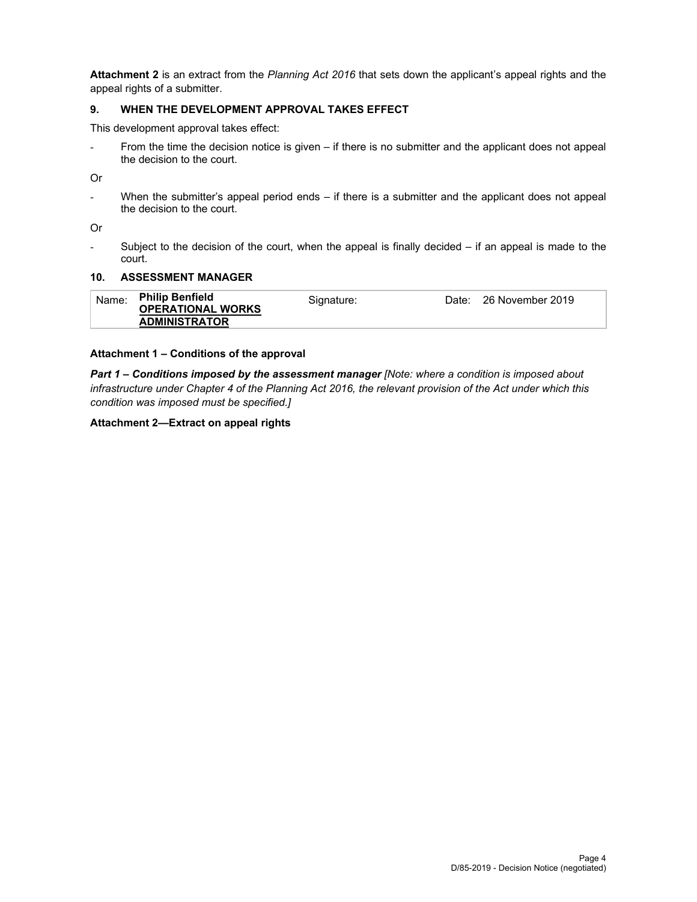**Attachment 2** is an extract from the *Planning Act 2016* that sets down the applicant's appeal rights and the appeal rights of a submitter.

## **9. WHEN THE DEVELOPMENT APPROVAL TAKES EFFECT**

This development approval takes effect:

- From the time the decision notice is given – if there is no submitter and the applicant does not appeal the decision to the court.

Or

- When the submitter's appeal period ends – if there is a submitter and the applicant does not appeal the decision to the court.

Or

- Subject to the decision of the court, when the appeal is finally decided – if an appeal is made to the court.

#### **10. ASSESSMENT MANAGER**

| Name: | <b>Philip Benfield</b><br><b>OPERATIONAL WORKS</b> | Signature: | Date: 26 November 2019 |
|-------|----------------------------------------------------|------------|------------------------|
|       | <b>ADMINISTRATOR</b>                               |            |                        |

#### **Attachment 1 – Conditions of the approval**

*Part 1* **–** *Conditions imposed by the assessment manager [Note: where a condition is imposed about infrastructure under Chapter 4 of the Planning Act 2016, the relevant provision of the Act under which this condition was imposed must be specified.]* 

**Attachment 2—Extract on appeal rights**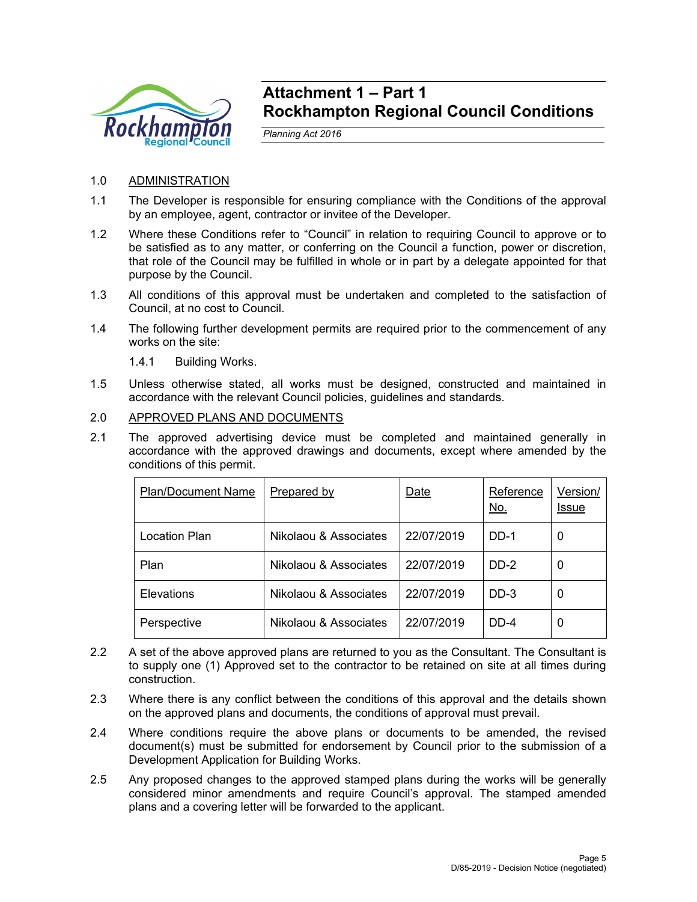

# **Attachment 1 – Part 1 Rockhampton Regional Council Conditions**

*Planning Act 2016* 

# 1.0 ADMINISTRATION

- 1.1 The Developer is responsible for ensuring compliance with the Conditions of the approval by an employee, agent, contractor or invitee of the Developer.
- 1.2 Where these Conditions refer to "Council" in relation to requiring Council to approve or to be satisfied as to any matter, or conferring on the Council a function, power or discretion, that role of the Council may be fulfilled in whole or in part by a delegate appointed for that purpose by the Council.
- 1.3 All conditions of this approval must be undertaken and completed to the satisfaction of Council, at no cost to Council.
- 1.4 The following further development permits are required prior to the commencement of any works on the site:
	- 1.4.1 Building Works.
- 1.5 Unless otherwise stated, all works must be designed, constructed and maintained in accordance with the relevant Council policies, guidelines and standards.

# 2.0 APPROVED PLANS AND DOCUMENTS

2.1 The approved advertising device must be completed and maintained generally in accordance with the approved drawings and documents, except where amended by the conditions of this permit.

| <b>Plan/Document Name</b> | Prepared by           | Date       | Reference<br><u>No.</u> | Version/<br>Issue |
|---------------------------|-----------------------|------------|-------------------------|-------------------|
| Location Plan             | Nikolaou & Associates | 22/07/2019 | DD-1                    | 0                 |
| Plan                      | Nikolaou & Associates | 22/07/2019 | DD-2                    | 0                 |
| Elevations                | Nikolaou & Associates | 22/07/2019 | $DD-3$                  | 0                 |
| Perspective               | Nikolaou & Associates | 22/07/2019 | DD-4                    | 0                 |

- 2.2 A set of the above approved plans are returned to you as the Consultant. The Consultant is to supply one (1) Approved set to the contractor to be retained on site at all times during construction.
- 2.3 Where there is any conflict between the conditions of this approval and the details shown on the approved plans and documents, the conditions of approval must prevail.
- 2.4 Where conditions require the above plans or documents to be amended, the revised document(s) must be submitted for endorsement by Council prior to the submission of a Development Application for Building Works.
- 2.5 Any proposed changes to the approved stamped plans during the works will be generally considered minor amendments and require Council's approval. The stamped amended plans and a covering letter will be forwarded to the applicant.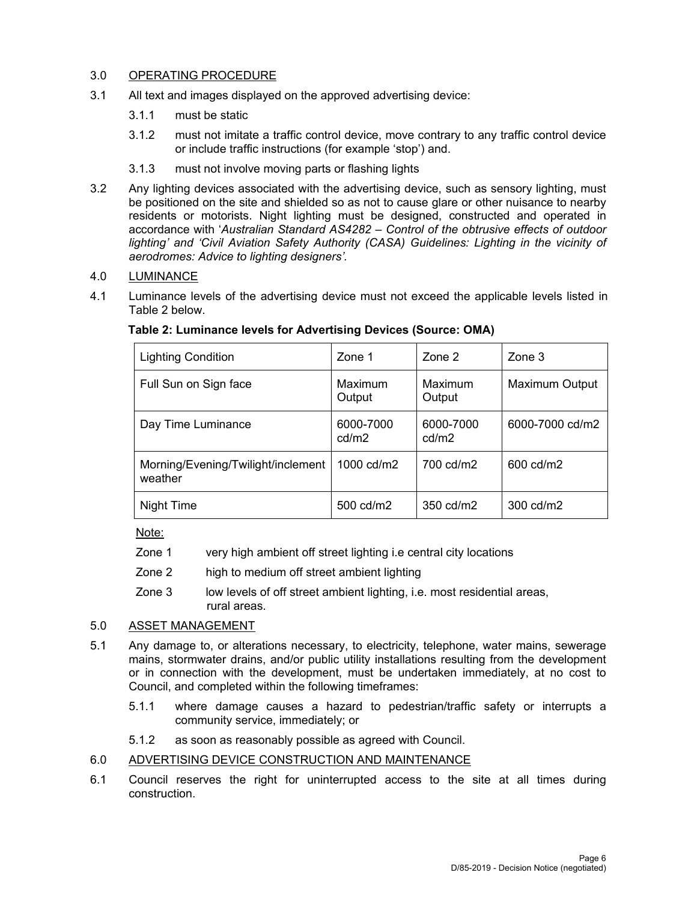# 3.0 OPERATING PROCEDURE

- 3.1 All text and images displayed on the approved advertising device:
	- 3.1.1 must be static
	- 3.1.2 must not imitate a traffic control device, move contrary to any traffic control device or include traffic instructions (for example 'stop') and.
	- 3.1.3 must not involve moving parts or flashing lights
- 3.2 Any lighting devices associated with the advertising device, such as sensory lighting, must be positioned on the site and shielded so as not to cause glare or other nuisance to nearby residents or motorists. Night lighting must be designed, constructed and operated in accordance with '*Australian Standard AS4282 – Control of the obtrusive effects of outdoor*  lighting' and 'Civil Aviation Safety Authority (CASA) Guidelines: Lighting in the vicinity of *aerodromes: Advice to lighting designers'.*

# 4.0 LUMINANCE

4.1 Luminance levels of the advertising device must not exceed the applicable levels listed in Table 2 below.

| <b>Lighting Condition</b>                     | Zone 1             | Zone 2             | $\mathsf{Zone}\,3$    |
|-----------------------------------------------|--------------------|--------------------|-----------------------|
| Full Sun on Sign face                         | Maximum<br>Output  | Maximum<br>Output  | <b>Maximum Output</b> |
| Day Time Luminance                            | 6000-7000<br>cd/m2 | 6000-7000<br>cd/m2 | 6000-7000 cd/m2       |
| Morning/Evening/Twilight/inclement<br>weather | 1000 cd/m2         | 700 cd/m2          | 600 cd/m2             |
| Night Time                                    | 500 cd/m2          | 350 cd/m2          | 300 cd/m2             |

# **Table 2: Luminance levels for Advertising Devices (Source: OMA)**

Note:

- Zone 1 very high ambient off street lighting i.e central city locations
- Zone 2 high to medium off street ambient lighting
- Zone 3 low levels of off street ambient lighting, i.e. most residential areas, rural areas.

# 5.0 ASSET MANAGEMENT

- 5.1 Any damage to, or alterations necessary, to electricity, telephone, water mains, sewerage mains, stormwater drains, and/or public utility installations resulting from the development or in connection with the development, must be undertaken immediately, at no cost to Council, and completed within the following timeframes:
	- 5.1.1 where damage causes a hazard to pedestrian/traffic safety or interrupts a community service, immediately; or
	- 5.1.2 as soon as reasonably possible as agreed with Council.

## 6.0 ADVERTISING DEVICE CONSTRUCTION AND MAINTENANCE

6.1 Council reserves the right for uninterrupted access to the site at all times during construction.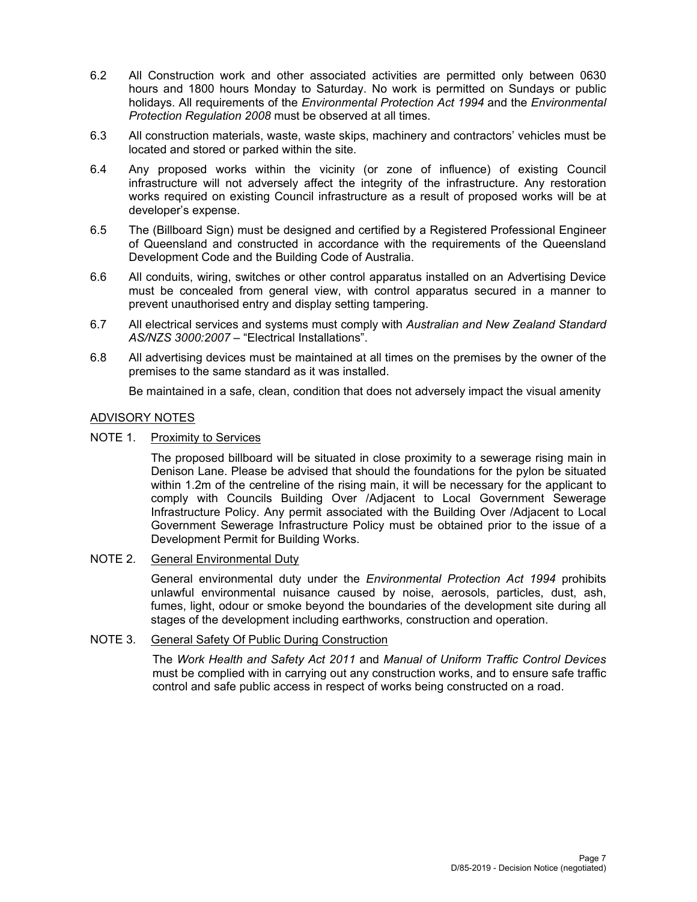- 6.2 All Construction work and other associated activities are permitted only between 0630 hours and 1800 hours Monday to Saturday. No work is permitted on Sundays or public holidays. All requirements of the *Environmental Protection Act 1994* and the *Environmental Protection Regulation 2008* must be observed at all times.
- 6.3 All construction materials, waste, waste skips, machinery and contractors' vehicles must be located and stored or parked within the site.
- 6.4 Any proposed works within the vicinity (or zone of influence) of existing Council infrastructure will not adversely affect the integrity of the infrastructure. Any restoration works required on existing Council infrastructure as a result of proposed works will be at developer's expense.
- 6.5 The (Billboard Sign) must be designed and certified by a Registered Professional Engineer of Queensland and constructed in accordance with the requirements of the Queensland Development Code and the Building Code of Australia.
- 6.6 All conduits, wiring, switches or other control apparatus installed on an Advertising Device must be concealed from general view, with control apparatus secured in a manner to prevent unauthorised entry and display setting tampering.
- 6.7 All electrical services and systems must comply with *Australian and New Zealand Standard AS/NZS 3000:2007* – "Electrical Installations".
- 6.8 All advertising devices must be maintained at all times on the premises by the owner of the premises to the same standard as it was installed.

Be maintained in a safe, clean, condition that does not adversely impact the visual amenity

## ADVISORY NOTES

NOTE 1. Proximity to Services

The proposed billboard will be situated in close proximity to a sewerage rising main in Denison Lane. Please be advised that should the foundations for the pylon be situated within 1.2m of the centreline of the rising main, it will be necessary for the applicant to comply with Councils Building Over /Adjacent to Local Government Sewerage Infrastructure Policy. Any permit associated with the Building Over /Adjacent to Local Government Sewerage Infrastructure Policy must be obtained prior to the issue of a Development Permit for Building Works.

NOTE 2. General Environmental Duty

General environmental duty under the *Environmental Protection Act 1994* prohibits unlawful environmental nuisance caused by noise, aerosols, particles, dust, ash, fumes, light, odour or smoke beyond the boundaries of the development site during all stages of the development including earthworks, construction and operation.

# NOTE 3. General Safety Of Public During Construction

The *Work Health and Safety Act 2011* and *Manual of Uniform Traffic Control Devices* must be complied with in carrying out any construction works, and to ensure safe traffic control and safe public access in respect of works being constructed on a road.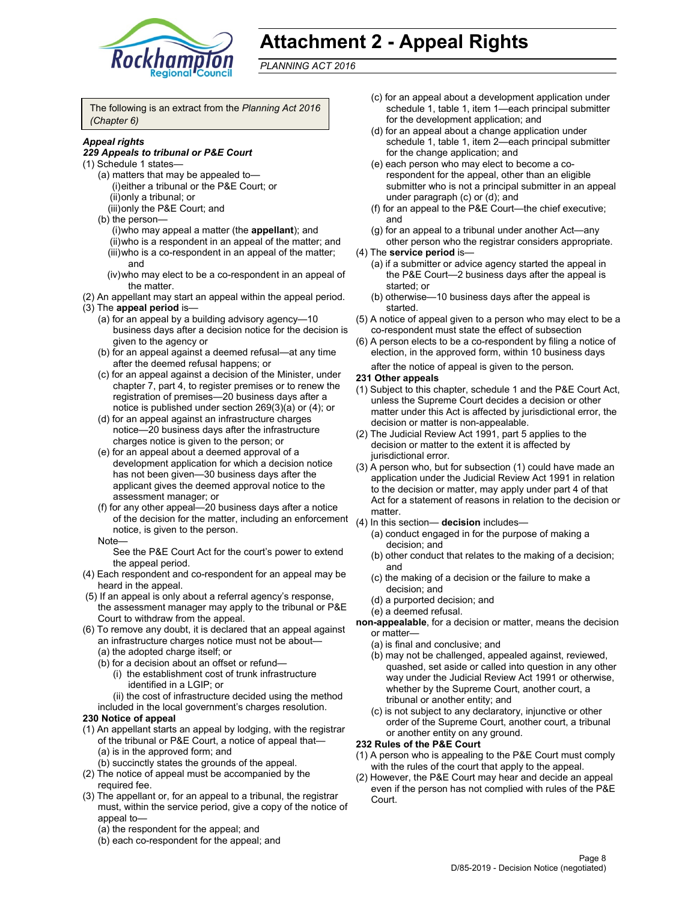

# **Attachment 2 - Appeal Rights**

*PLANNING ACT 2016*

The following is an extract from the *Planning Act 2016 (Chapter 6)*

#### *Appeal rights*

#### *229 Appeals to tribunal or P&E Court*

- (1) Schedule 1 states—
	- (a) matters that may be appealed to— (i) either a tribunal or the P&E Court; or (ii) only a tribunal; or
	- (iii) only the P&E Court; and
	- (b) the person—
		- (i) who may appeal a matter (the **appellant**); and
		- (ii) who is a respondent in an appeal of the matter; and (iii) who is a co-respondent in an appeal of the matter; and
		- (iv) who may elect to be a co-respondent in an appeal of the matter.
- (2) An appellant may start an appeal within the appeal period. (3) The **appeal period** is—
	- (a) for an appeal by a building advisory agency—10 business days after a decision notice for the decision is
	- given to the agency or (b) for an appeal against a deemed refusal—at any time after the deemed refusal happens; or
	- (c) for an appeal against a decision of the Minister, under chapter 7, part 4, to register premises or to renew the registration of premises—20 business days after a notice is published under section 269(3)(a) or (4); or
	- (d) for an appeal against an infrastructure charges notice—20 business days after the infrastructure charges notice is given to the person; or
	- (e) for an appeal about a deemed approval of a development application for which a decision notice has not been given—30 business days after the applicant gives the deemed approval notice to the assessment manager; or
	- (f) for any other appeal—20 business days after a notice of the decision for the matter, including an enforcement (4) In this section— **decision** includes notice, is given to the person.

#### Note—

See the P&E Court Act for the court's power to extend the appeal period.

- (4) Each respondent and co-respondent for an appeal may be heard in the appeal.
- (5) If an appeal is only about a referral agency's response, the assessment manager may apply to the tribunal or P&E Court to withdraw from the appeal.
- (6) To remove any doubt, it is declared that an appeal against an infrastructure charges notice must not be about— (a) the adopted charge itself; or
	- (b) for a decision about an offset or refund—
		- (i) the establishment cost of trunk infrastructure identified in a LGIP; or
		- (ii) the cost of infrastructure decided using the method
	- included in the local government's charges resolution.

#### **230 Notice of appeal**

- (1) An appellant starts an appeal by lodging, with the registrar of the tribunal or P&E Court, a notice of appeal that— (a) is in the approved form; and
	- (b) succinctly states the grounds of the appeal.
- (2) The notice of appeal must be accompanied by the required fee.
- (3) The appellant or, for an appeal to a tribunal, the registrar must, within the service period, give a copy of the notice of appeal to—
	- (a) the respondent for the appeal; and
	- (b) each co-respondent for the appeal; and
- (c) for an appeal about a development application under schedule 1, table 1, item 1—each principal submitter for the development application; and
- (d) for an appeal about a change application under schedule 1, table 1, item 2—each principal submitter for the change application; and
- (e) each person who may elect to become a corespondent for the appeal, other than an eligible submitter who is not a principal submitter in an appeal under paragraph (c) or (d); and
- (f) for an appeal to the P&E Court—the chief executive; and
- (g) for an appeal to a tribunal under another Act—any other person who the registrar considers appropriate.
- (4) The **service period** is—
	- (a) if a submitter or advice agency started the appeal in the P&E Court—2 business days after the appeal is started; or
	- (b) otherwise—10 business days after the appeal is started.
- (5) A notice of appeal given to a person who may elect to be a co-respondent must state the effect of subsection
- (6) A person elects to be a co-respondent by filing a notice of election, in the approved form, within 10 business days after the notice of appeal is given to the person*.*

#### **231 Other appeals**

- (1) Subject to this chapter, schedule 1 and the P&E Court Act, unless the Supreme Court decides a decision or other matter under this Act is affected by jurisdictional error, the decision or matter is non-appealable.
- (2) The Judicial Review Act 1991, part 5 applies to the decision or matter to the extent it is affected by jurisdictional error.
- (3) A person who, but for subsection (1) could have made an application under the Judicial Review Act 1991 in relation to the decision or matter, may apply under part 4 of that Act for a statement of reasons in relation to the decision or matter.
- - (a) conduct engaged in for the purpose of making a decision; and
	- (b) other conduct that relates to the making of a decision; and
	- (c) the making of a decision or the failure to make a decision; and
	- (d) a purported decision; and
	- (e) a deemed refusal.
- **non-appealable**, for a decision or matter, means the decision or matter—
	- (a) is final and conclusive; and
	- (b) may not be challenged, appealed against, reviewed, quashed, set aside or called into question in any other way under the Judicial Review Act 1991 or otherwise, whether by the Supreme Court, another court, a tribunal or another entity; and
	- (c) is not subject to any declaratory, injunctive or other order of the Supreme Court, another court, a tribunal or another entity on any ground.

#### **232 Rules of the P&E Court**

- (1) A person who is appealing to the P&E Court must comply with the rules of the court that apply to the appeal.
- (2) However, the P&E Court may hear and decide an appeal even if the person has not complied with rules of the P&E Court.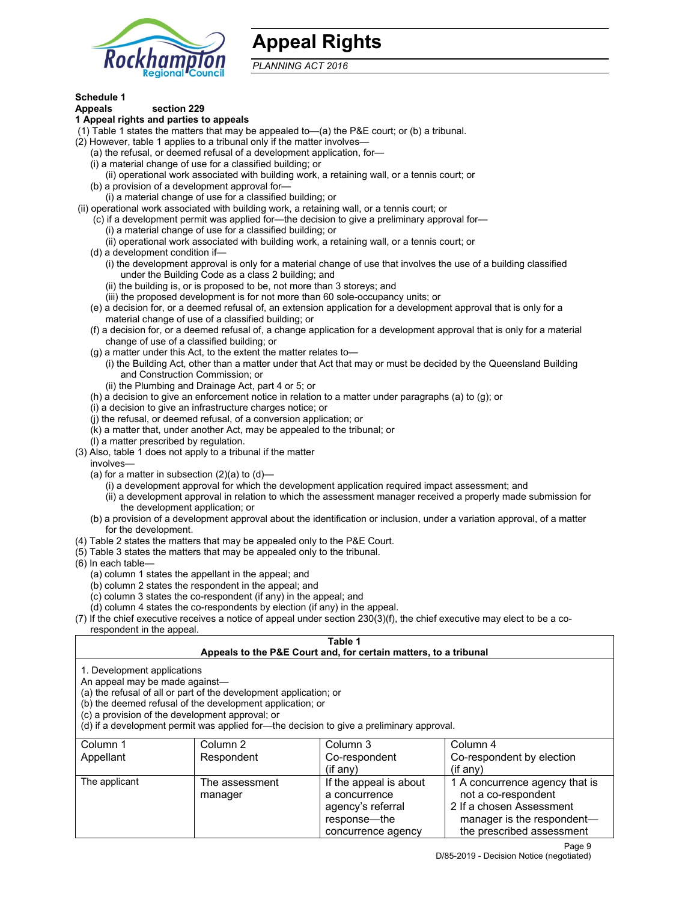

# **Appeal Rights**

*PLANNING ACT 2016*

# **Schedule 1**

#### **Appeals section 229 1 Appeal rights and parties to appeals**

- (1) Table 1 states the matters that may be appealed to—(a) the P&E court; or (b) a tribunal.
- (2) However, table 1 applies to a tribunal only if the matter involves—
	- (a) the refusal, or deemed refusal of a development application, for—
	- (i) a material change of use for a classified building; or
	- (ii) operational work associated with building work, a retaining wall, or a tennis court; or
	- (b) a provision of a development approval for—
	- (i) a material change of use for a classified building; or
- (ii) operational work associated with building work, a retaining wall, or a tennis court; or
	- (c) if a development permit was applied for—the decision to give a preliminary approval for—
		- (i) a material change of use for a classified building; or
		- (ii) operational work associated with building work, a retaining wall, or a tennis court; or
	- (d) a development condition if—
		- (i) the development approval is only for a material change of use that involves the use of a building classified under the Building Code as a class 2 building; and
		- (ii) the building is, or is proposed to be, not more than 3 storeys; and
		- (iii) the proposed development is for not more than 60 sole-occupancy units; or
	- (e) a decision for, or a deemed refusal of, an extension application for a development approval that is only for a material change of use of a classified building; or
	- (f) a decision for, or a deemed refusal of, a change application for a development approval that is only for a material change of use of a classified building; or
	- (g) a matter under this Act, to the extent the matter relates to—
		- (i) the Building Act, other than a matter under that Act that may or must be decided by the Queensland Building and Construction Commission; or
		- (ii) the Plumbing and Drainage Act, part 4 or 5; or
	- (h) a decision to give an enforcement notice in relation to a matter under paragraphs (a) to (g); or
	- (i) a decision to give an infrastructure charges notice; or
	- (j) the refusal, or deemed refusal, of a conversion application; or
	- (k) a matter that, under another Act, may be appealed to the tribunal; or
	- (l) a matter prescribed by regulation.
- (3) Also, table 1 does not apply to a tribunal if the matter
- involves—
	- (a) for a matter in subsection  $(2)(a)$  to  $(d)$ 
		- (i) a development approval for which the development application required impact assessment; and
		- (ii) a development approval in relation to which the assessment manager received a properly made submission for the development application; or
	- (b) a provision of a development approval about the identification or inclusion, under a variation approval, of a matter for the development.
- (4) Table 2 states the matters that may be appealed only to the P&E Court.
- (5) Table 3 states the matters that may be appealed only to the tribunal.
- (6) In each table—
	- (a) column 1 states the appellant in the appeal; and
	- (b) column 2 states the respondent in the appeal; and
	- (c) column 3 states the co-respondent (if any) in the appeal; and
	- (d) column 4 states the co-respondents by election (if any) in the appeal.
- (7) If the chief executive receives a notice of appeal under section 230(3)(f), the chief executive may elect to be a corespondent in the appeal.

## **Table 1**

## **Appeals to the P&E Court and, for certain matters, to a tribunal**

1. Development applications

An appeal may be made against—

(a) the refusal of all or part of the development application; or

(b) the deemed refusal of the development application; or

(c) a provision of the development approval; or

(d) if a development permit was applied for—the decision to give a preliminary approval.

| Column 1      | Column 2                  | Column 3                                                                                           | Column 4                                                                                                                                     |
|---------------|---------------------------|----------------------------------------------------------------------------------------------------|----------------------------------------------------------------------------------------------------------------------------------------------|
| Appellant     | Respondent                | Co-respondent                                                                                      | Co-respondent by election                                                                                                                    |
|               |                           | (if any)                                                                                           | $(if$ any)                                                                                                                                   |
| The applicant | The assessment<br>manager | If the appeal is about<br>a concurrence<br>agency's referral<br>response—the<br>concurrence agency | 1 A concurrence agency that is<br>not a co-respondent<br>2 If a chosen Assessment<br>manager is the respondent-<br>the prescribed assessment |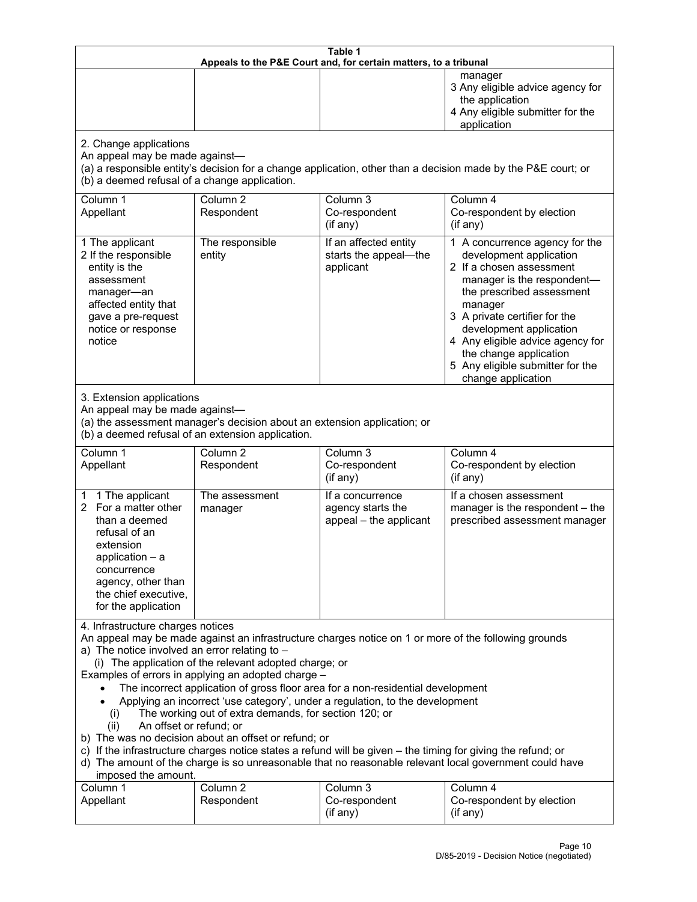| Table 1<br>Appeals to the P&E Court and, for certain matters, to a tribunal                                                                                                                                                                                                                                                                                                                                                                                                                                                                                                                                                                                                                                                                                                                                                                                                                                                                            |                                   |                                                                 |                                                                                                                                                                                                                                                                                                                                                 |
|--------------------------------------------------------------------------------------------------------------------------------------------------------------------------------------------------------------------------------------------------------------------------------------------------------------------------------------------------------------------------------------------------------------------------------------------------------------------------------------------------------------------------------------------------------------------------------------------------------------------------------------------------------------------------------------------------------------------------------------------------------------------------------------------------------------------------------------------------------------------------------------------------------------------------------------------------------|-----------------------------------|-----------------------------------------------------------------|-------------------------------------------------------------------------------------------------------------------------------------------------------------------------------------------------------------------------------------------------------------------------------------------------------------------------------------------------|
|                                                                                                                                                                                                                                                                                                                                                                                                                                                                                                                                                                                                                                                                                                                                                                                                                                                                                                                                                        |                                   |                                                                 | manager<br>3 Any eligible advice agency for<br>the application<br>4 Any eligible submitter for the<br>application                                                                                                                                                                                                                               |
| 2. Change applications<br>An appeal may be made against-<br>(b) a deemed refusal of a change application.                                                                                                                                                                                                                                                                                                                                                                                                                                                                                                                                                                                                                                                                                                                                                                                                                                              |                                   |                                                                 | (a) a responsible entity's decision for a change application, other than a decision made by the P&E court; or                                                                                                                                                                                                                                   |
| Column 1<br>Appellant                                                                                                                                                                                                                                                                                                                                                                                                                                                                                                                                                                                                                                                                                                                                                                                                                                                                                                                                  | Column <sub>2</sub><br>Respondent | Column 3<br>Co-respondent<br>(if any)                           | Column 4<br>Co-respondent by election<br>(if any)                                                                                                                                                                                                                                                                                               |
| 1 The applicant<br>2 If the responsible<br>entity is the<br>assessment<br>manager-an<br>affected entity that<br>gave a pre-request<br>notice or response<br>notice                                                                                                                                                                                                                                                                                                                                                                                                                                                                                                                                                                                                                                                                                                                                                                                     | The responsible<br>entity         | If an affected entity<br>starts the appeal-the<br>applicant     | 1 A concurrence agency for the<br>development application<br>2 If a chosen assessment<br>manager is the respondent-<br>the prescribed assessment<br>manager<br>3 A private certifier for the<br>development application<br>4 Any eligible advice agency for<br>the change application<br>5 Any eligible submitter for the<br>change application |
| 3. Extension applications<br>An appeal may be made against-<br>(a) the assessment manager's decision about an extension application; or<br>(b) a deemed refusal of an extension application.                                                                                                                                                                                                                                                                                                                                                                                                                                                                                                                                                                                                                                                                                                                                                           |                                   |                                                                 |                                                                                                                                                                                                                                                                                                                                                 |
| Column 1<br>Appellant                                                                                                                                                                                                                                                                                                                                                                                                                                                                                                                                                                                                                                                                                                                                                                                                                                                                                                                                  | Column <sub>2</sub><br>Respondent | Column 3<br>Co-respondent<br>(if any)                           | Column 4<br>Co-respondent by election<br>(if any)                                                                                                                                                                                                                                                                                               |
| 1 The applicant<br>1.<br>2 For a matter other<br>than a deemed<br>refusal of an<br>extension<br>$application - a$<br>concurrence<br>agency, other than<br>the chief executive,<br>for the application                                                                                                                                                                                                                                                                                                                                                                                                                                                                                                                                                                                                                                                                                                                                                  | The assessment<br>manager         | If a concurrence<br>agency starts the<br>appeal - the applicant | If a chosen assessment<br>manager is the respondent - the<br>prescribed assessment manager                                                                                                                                                                                                                                                      |
| 4. Infrastructure charges notices<br>An appeal may be made against an infrastructure charges notice on 1 or more of the following grounds<br>a) The notice involved an error relating to $-$<br>(i) The application of the relevant adopted charge; or<br>Examples of errors in applying an adopted charge -<br>The incorrect application of gross floor area for a non-residential development<br>Applying an incorrect 'use category', under a regulation, to the development<br>The working out of extra demands, for section 120; or<br>(i)<br>An offset or refund; or<br>(ii)<br>b) The was no decision about an offset or refund; or<br>c) If the infrastructure charges notice states a refund will be given - the timing for giving the refund; or<br>d) The amount of the charge is so unreasonable that no reasonable relevant local government could have<br>imposed the amount.<br>Column 3<br>Column 1<br>Column <sub>2</sub><br>Column 4 |                                   |                                                                 |                                                                                                                                                                                                                                                                                                                                                 |
| Appellant                                                                                                                                                                                                                                                                                                                                                                                                                                                                                                                                                                                                                                                                                                                                                                                                                                                                                                                                              | Respondent                        | Co-respondent<br>(if any)                                       | Co-respondent by election<br>(i f any)                                                                                                                                                                                                                                                                                                          |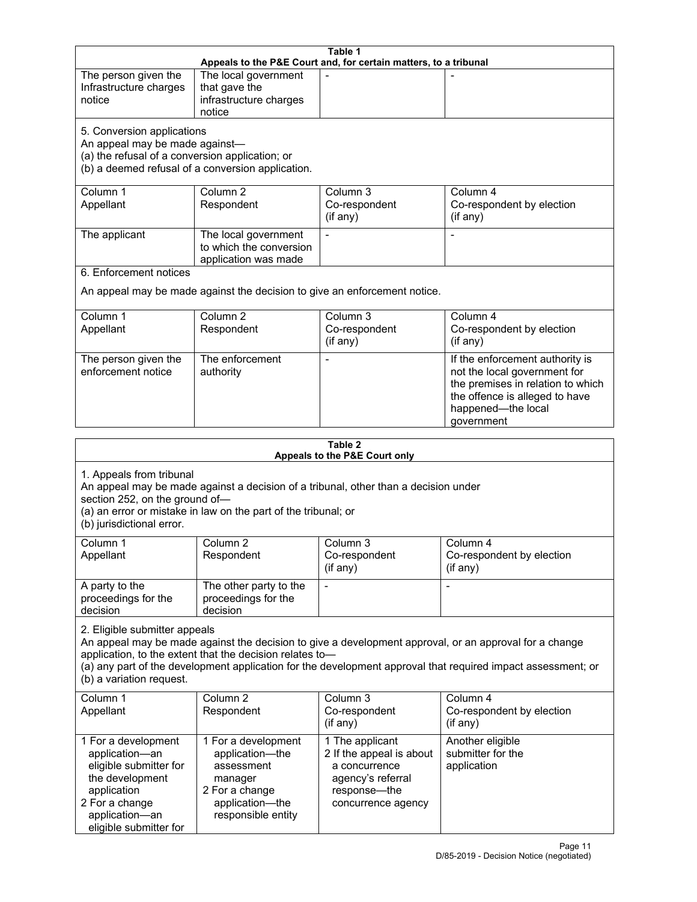| Table 1<br>Appeals to the P&E Court and, for certain matters, to a tribunal                                                                                                                                                                                                                                                                     |                                                                                                                            |                                                                                                                         |                                                                                                                                                                            |
|-------------------------------------------------------------------------------------------------------------------------------------------------------------------------------------------------------------------------------------------------------------------------------------------------------------------------------------------------|----------------------------------------------------------------------------------------------------------------------------|-------------------------------------------------------------------------------------------------------------------------|----------------------------------------------------------------------------------------------------------------------------------------------------------------------------|
| The person given the<br>Infrastructure charges<br>notice                                                                                                                                                                                                                                                                                        | The local government<br>that gave the<br>infrastructure charges<br>notice                                                  |                                                                                                                         |                                                                                                                                                                            |
| 5. Conversion applications<br>An appeal may be made against-<br>(a) the refusal of a conversion application; or<br>(b) a deemed refusal of a conversion application.                                                                                                                                                                            |                                                                                                                            |                                                                                                                         |                                                                                                                                                                            |
| Column 1<br>Appellant                                                                                                                                                                                                                                                                                                                           | Column <sub>2</sub><br>Respondent                                                                                          | Column 3<br>Co-respondent<br>(if any)                                                                                   | Column 4<br>Co-respondent by election<br>(if any)                                                                                                                          |
| The applicant                                                                                                                                                                                                                                                                                                                                   | The local government<br>to which the conversion<br>application was made                                                    |                                                                                                                         |                                                                                                                                                                            |
| 6. Enforcement notices                                                                                                                                                                                                                                                                                                                          |                                                                                                                            | An appeal may be made against the decision to give an enforcement notice.                                               |                                                                                                                                                                            |
| Column 1<br>Appellant                                                                                                                                                                                                                                                                                                                           | Column <sub>2</sub><br>Respondent                                                                                          | Column 3<br>Co-respondent<br>(if any)                                                                                   | Column 4<br>Co-respondent by election<br>(if any)                                                                                                                          |
| The person given the<br>enforcement notice                                                                                                                                                                                                                                                                                                      | The enforcement<br>authority                                                                                               | $\blacksquare$                                                                                                          | If the enforcement authority is<br>not the local government for<br>the premises in relation to which<br>the offence is alleged to have<br>happened-the local<br>government |
|                                                                                                                                                                                                                                                                                                                                                 |                                                                                                                            | Table 2<br>Appeals to the P&E Court only                                                                                |                                                                                                                                                                            |
| 1. Appeals from tribunal<br>An appeal may be made against a decision of a tribunal, other than a decision under<br>section 252, on the ground of-<br>(a) an error or mistake in law on the part of the tribunal; or<br>(b) jurisdictional error.                                                                                                |                                                                                                                            |                                                                                                                         |                                                                                                                                                                            |
| Column <sub>1</sub><br>Appellant                                                                                                                                                                                                                                                                                                                | Column <sub>2</sub><br>Respondent                                                                                          | Column <sub>3</sub><br>Co-respondent<br>(if any)                                                                        | Column 4<br>Co-respondent by election<br>(i f any)                                                                                                                         |
| A party to the<br>proceedings for the<br>decision                                                                                                                                                                                                                                                                                               | The other party to the<br>proceedings for the<br>decision                                                                  | $\overline{\phantom{a}}$                                                                                                | $\blacksquare$                                                                                                                                                             |
| 2. Eligible submitter appeals<br>An appeal may be made against the decision to give a development approval, or an approval for a change<br>application, to the extent that the decision relates to-<br>(a) any part of the development application for the development approval that required impact assessment; or<br>(b) a variation request. |                                                                                                                            |                                                                                                                         |                                                                                                                                                                            |
| Column 1<br>Appellant                                                                                                                                                                                                                                                                                                                           | Column <sub>2</sub><br>Respondent                                                                                          | Column 3<br>Co-respondent<br>(if any)                                                                                   | Column 4<br>Co-respondent by election<br>(if any)                                                                                                                          |
| 1 For a development<br>application-an<br>eligible submitter for<br>the development<br>application<br>2 For a change<br>application-an<br>eligible submitter for                                                                                                                                                                                 | 1 For a development<br>application-the<br>assessment<br>manager<br>2 For a change<br>application-the<br>responsible entity | 1 The applicant<br>2 If the appeal is about<br>a concurrence<br>agency's referral<br>response-the<br>concurrence agency | Another eligible<br>submitter for the<br>application                                                                                                                       |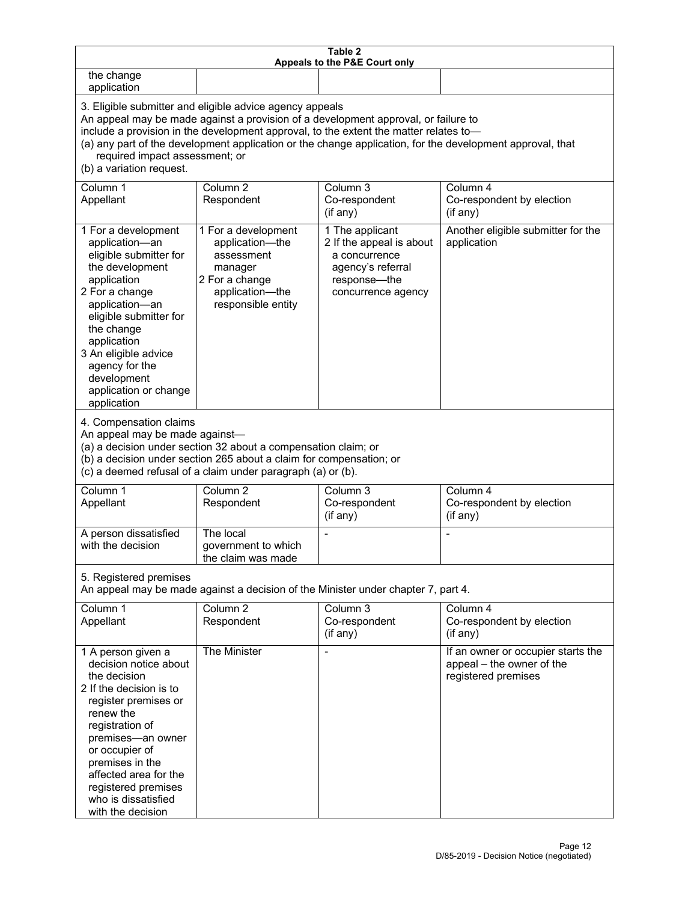| Table 2<br>Appeals to the P&E Court only                                                                                                                                                                                                                                                                                                                                                                           |                                                                                                                            |                                                                                                                         |                                                                                        |
|--------------------------------------------------------------------------------------------------------------------------------------------------------------------------------------------------------------------------------------------------------------------------------------------------------------------------------------------------------------------------------------------------------------------|----------------------------------------------------------------------------------------------------------------------------|-------------------------------------------------------------------------------------------------------------------------|----------------------------------------------------------------------------------------|
| the change<br>application                                                                                                                                                                                                                                                                                                                                                                                          |                                                                                                                            |                                                                                                                         |                                                                                        |
| 3. Eligible submitter and eligible advice agency appeals<br>An appeal may be made against a provision of a development approval, or failure to<br>include a provision in the development approval, to the extent the matter relates to-<br>(a) any part of the development application or the change application, for the development approval, that<br>required impact assessment; or<br>(b) a variation request. |                                                                                                                            |                                                                                                                         |                                                                                        |
| Column 1<br>Appellant                                                                                                                                                                                                                                                                                                                                                                                              | Column <sub>2</sub><br>Respondent                                                                                          | Column 3<br>Co-respondent<br>(if any)                                                                                   | Column 4<br>Co-respondent by election<br>(if any)                                      |
| 1 For a development<br>application-an<br>eligible submitter for<br>the development<br>application<br>2 For a change<br>application-an<br>eligible submitter for<br>the change<br>application<br>3 An eligible advice<br>agency for the<br>development<br>application or change<br>application                                                                                                                      | 1 For a development<br>application-the<br>assessment<br>manager<br>2 For a change<br>application-the<br>responsible entity | 1 The applicant<br>2 If the appeal is about<br>a concurrence<br>agency's referral<br>response-the<br>concurrence agency | Another eligible submitter for the<br>application                                      |
| 4. Compensation claims<br>An appeal may be made against-<br>(a) a decision under section 32 about a compensation claim; or<br>(b) a decision under section 265 about a claim for compensation; or<br>(c) a deemed refusal of a claim under paragraph (a) or (b).                                                                                                                                                   |                                                                                                                            |                                                                                                                         |                                                                                        |
| Column 1<br>Appellant                                                                                                                                                                                                                                                                                                                                                                                              | Column <sub>2</sub><br>Respondent                                                                                          | Column <sub>3</sub><br>Co-respondent<br>(if any)                                                                        | Column 4<br>Co-respondent by election<br>(if any)                                      |
| A person dissatisfied<br>with the decision                                                                                                                                                                                                                                                                                                                                                                         | The local<br>government to which<br>the claim was made                                                                     |                                                                                                                         |                                                                                        |
| 5. Registered premises<br>An appeal may be made against a decision of the Minister under chapter 7, part 4.                                                                                                                                                                                                                                                                                                        |                                                                                                                            |                                                                                                                         |                                                                                        |
| Column 1<br>Appellant                                                                                                                                                                                                                                                                                                                                                                                              | Column <sub>2</sub><br>Respondent                                                                                          | Column 3<br>Co-respondent<br>(if any)                                                                                   | Column 4<br>Co-respondent by election<br>(if any)                                      |
| 1 A person given a<br>decision notice about<br>the decision<br>2 If the decision is to<br>register premises or<br>renew the<br>registration of<br>premises-an owner<br>or occupier of<br>premises in the<br>affected area for the<br>registered premises<br>who is dissatisfied<br>with the decision                                                                                                               | The Minister                                                                                                               | $\overline{\phantom{a}}$                                                                                                | If an owner or occupier starts the<br>appeal - the owner of the<br>registered premises |